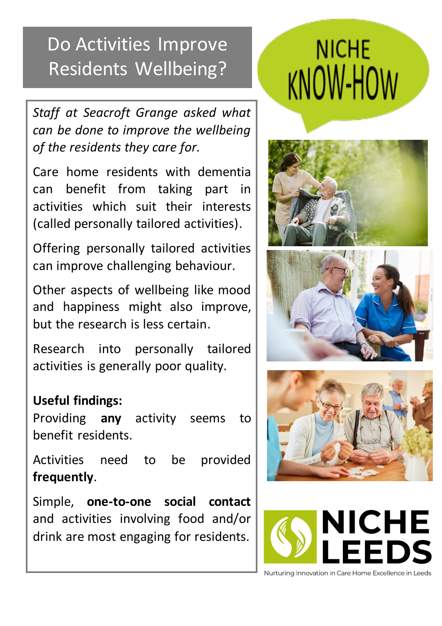## Do Activities Improve Residents Wellbeing?

*Staff at Seacroft Grange asked what can be done to improve the wellbeing of the residents they care for.*

Care home residents with dementia can benefit from taking part in activities which suit their interests (called personally tailored activities).

Offering personally tailored activities can improve challenging behaviour.

Other aspects of wellbeing like mood and happiness might also improve, but the research is less certain.

Research into personally tailored activities is generally poor quality.

### **Useful findings:**

Providing **any** activity seems to benefit residents.

Activities need to be provided **frequently**.

Simple, **one-to-one social contact** and activities involving food and/or drink are most engaging for residents.

# **NICHE KNOW-HOW**









Nurturing Innovation in Care Home Excellence in Leeds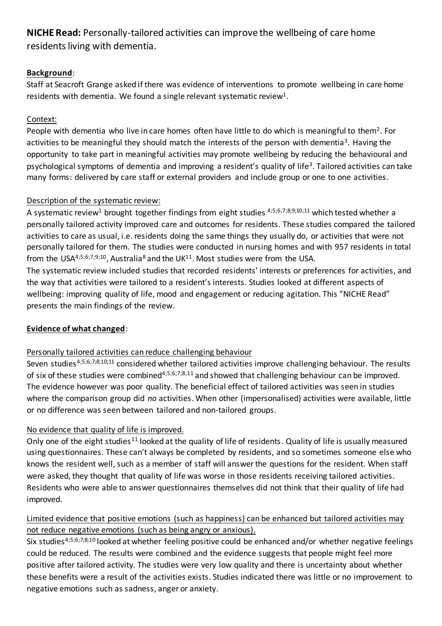#### **NICHE Read:** Personally-tailored activities can improve the wellbeing of care home residents living with dementia.

#### **Background**:

Staff at Seacroft Grange asked if there was evidence of interventions to promote wellbeing in care home residents with dementia. We found a single relevant systematic review<sup>1</sup>.

#### Context:

People with dementia who live in care homes often have little to do which is meaningful to them<sup>2</sup>. For activities to be meaningful they should match the interests of the person with dementia<sup>3</sup>. Having the opportunity to take part in meaningful activities may promote wellbeing by reducing the behavioural and psychological symptoms of dementia and improving a resident's quality of life<sup>3</sup>. Tailored activities can take many forms: delivered by care staff or external providers and include group or one to one activities.

#### Description of the systematic review:

A systematic review<sup>1</sup> brought together findings from eight studies  $4,5,6,7,8,9,10,11$  which tested whether a personally tailored activity improved care and outcomes for residents. These studies compared the tailored activities to care as usual, i.e. residents doing the same things they usually do, or activities that were not personally tailored for them. The studies were conducted in nursing homes and with 957 residents in total from the USA<sup>4;5;6;7;9;10</sup>, Australia<sup>8</sup> and the UK<sup>11</sup>. Most studies were from the USA.

The systematic review included studies that recorded residents' interests or preferences for activities, and the way that activities were tailored to a resident's interests. Studies looked at different aspects of wellbeing: improving quality of life, mood and engagement or reducing agitation. This "NICHE Read" presents the main findings of the review.

#### **Evidence of what changed**:

#### Personally tailored activities can reduce challenging behaviour

Seven studies<sup>4;5;6;7;8;10;11</sup> considered whether tailored activities improve challenging behaviour. The results of six of these studies were combined<sup>4;5;6;7;8;11</sup> and showed that challenging behaviour can be improved. The evidence however was poor quality. The beneficial effect of tailored activities was seen in studies where the comparison group did *no* activities. When other (impersonalised) activities were available, little or no difference was seen between tailored and non-tailored groups.

#### No evidence that quality of life is improved.

Only one of the eight studies<sup>11</sup> looked at the quality of life of residents. Quality of life is usually measured using questionnaires. These can't always be completed by residents, and so sometimes someone else who knows the resident well, such as a member of staff will answer the questions for the resident. When staff were asked, they thought that quality of life was worse in those residents receiving tailored activities. Residents who were able to answer questionnaires themselves did not think that their quality of life had improved.

#### Limited evidence that positive emotions (such as happiness) can be enhanced but tailored activities may not reduce negative emotions (such as being angry or anxious).

Six studies<sup>4;5;6;7;8;10</sup> looked at whether feeling positive could be enhanced and/or whether negative feelings could be reduced. The results were combined and the evidence suggests that people might feel more positive after tailored activity. The studies were very low quality and there is uncertainty about whether these benefits were a result of the activities exists. Studies indicated there was little or no improvement to negative emotions such as sadness, anger or anxiety.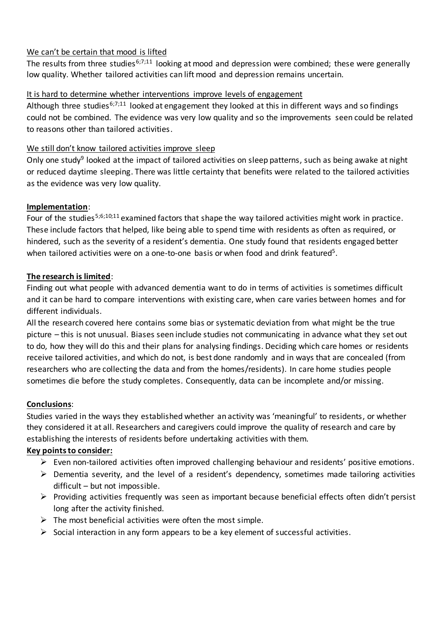#### We can't be certain that mood is lifted

The results from three studies<sup>6;7;11</sup> looking at mood and depression were combined; these were generally low quality. Whether tailored activities can lift mood and depression remains uncertain.

#### It is hard to determine whether interventions improve levels of engagement

Although three studies<sup>6;7;11</sup> looked at engagement they looked at this in different ways and so findings could not be combined. The evidence was very low quality and so the improvements seen could be related to reasons other than tailored activities.

#### We still don't know tailored activities improve sleep

Only one study<sup>9</sup> looked at the impact of tailored activities on sleep patterns, such as being awake at night or reduced daytime sleeping. There was little certainty that benefits were related to the tailored activities as the evidence was very low quality.

#### **Implementation**:

Four of the studies<sup>5;6;10;11</sup> examined factors that shape the way tailored activities might work in practice. These include factors that helped, like being able to spend time with residents as often as required, or hindered, such as the severity of a resident's dementia. One study found that residents engaged better when tailored activities were on a one-to-one basis or when food and drink featured<sup>5</sup>.

#### **The research is limited**:

Finding out what people with advanced dementia want to do in terms of activities is sometimes difficult and it can be hard to compare interventions with existing care, when care varies between homes and for different individuals.

All the research covered here contains some bias or systematic deviation from what might be the true picture – this is not unusual. Biases seen include studies not communicating in advance what they set out to do, how they will do this and their plans for analysing findings. Deciding which care homes or residents receive tailored activities, and which do not, is best done randomly and in ways that are concealed (from researchers who are collecting the data and from the homes/residents). In care home studies people sometimes die before the study completes. Consequently, data can be incomplete and/or missing.

#### **Conclusions**:

Studies varied in the ways they established whether an activity was 'meaningful' to residents, or whether they considered it at all. Researchers and caregivers could improve the quality of research and care by establishing the interests of residents before undertaking activities with them.

#### **Key points to consider:**

- $\triangleright$  Even non-tailored activities often improved challenging behaviour and residents' positive emotions.
- $\triangleright$  Dementia severity, and the level of a resident's dependency, sometimes made tailoring activities difficult – but not impossible.
- $\triangleright$  Providing activities frequently was seen as important because beneficial effects often didn't persist long after the activity finished.
- $\triangleright$  The most beneficial activities were often the most simple.
- $\triangleright$  Social interaction in any form appears to be a key element of successful activities.